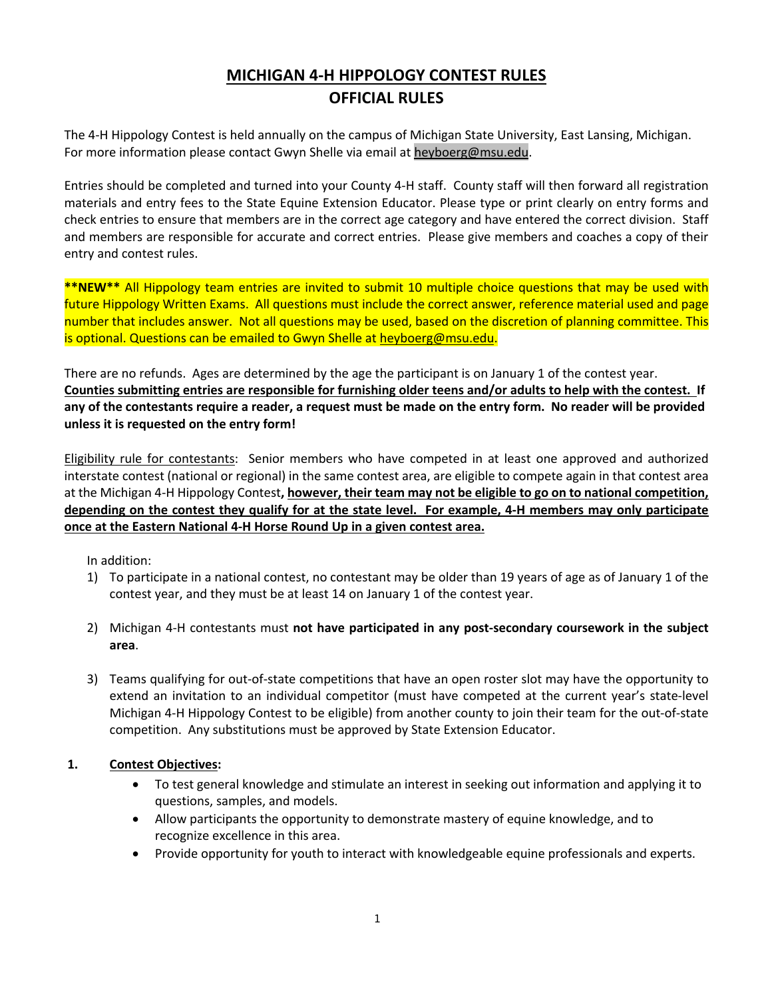# **MICHIGAN 4-H HIPPOLOGY CONTEST RULES OFFICIAL RULES**

The 4-H Hippology Contest is held annually on the campus of Michigan State University, East Lansing, Michigan. For more information please contact Gwyn Shelle via email at heyboerg@msu.edu.

Entries should be completed and turned into your County 4-H staff. County staff will then forward all registration materials and entry fees to the State Equine Extension Educator. Please type or print clearly on entry forms and check entries to ensure that members are in the correct age category and have entered the correct division. Staff and members are responsible for accurate and correct entries. Please give members and coaches a copy of their entry and contest rules.

**\*\*NEW\*\*** All Hippology team entries are invited to submit 10 multiple choice questions that may be used with future Hippology Written Exams. All questions must include the correct answer, reference material used and page number that includes answer. Not all questions may be used, based on the discretion of planning committee. This is optional. Questions can be emailed to Gwyn Shelle at heyboerg@msu.edu.

There are no refunds. Ages are determined by the age the participant is on January 1 of the contest year. **Counties submitting entries are responsible for furnishing older teens and/or adults to help with the contest. If any of the contestants require a reader, a request must be made on the entry form. No reader will be provided unless it is requested on the entry form!**

Eligibility rule for contestants: Senior members who have competed in at least one approved and authorized interstate contest (national or regional) in the same contest area, are eligible to compete again in that contest area at the Michigan 4-H Hippology Contest**, however, their team may not be eligible to go on to national competition, depending on the contest they qualify for at the state level. For example, 4-H members may only participate once at the Eastern National 4-H Horse Round Up in a given contest area.**

In addition:

- 1) To participate in a national contest, no contestant may be older than 19 years of age as of January 1 of the contest year, and they must be at least 14 on January 1 of the contest year.
- 2) Michigan 4-H contestants must **not have participated in any post-secondary coursework in the subject area**.
- 3) Teams qualifying for out-of-state competitions that have an open roster slot may have the opportunity to extend an invitation to an individual competitor (must have competed at the current year's state-level Michigan 4-H Hippology Contest to be eligible) from another county to join their team for the out-of-state competition. Any substitutions must be approved by State Extension Educator.

# **1. Contest Objectives:**

- To test general knowledge and stimulate an interest in seeking out information and applying it to questions, samples, and models.
- Allow participants the opportunity to demonstrate mastery of equine knowledge, and to recognize excellence in this area.
- Provide opportunity for youth to interact with knowledgeable equine professionals and experts.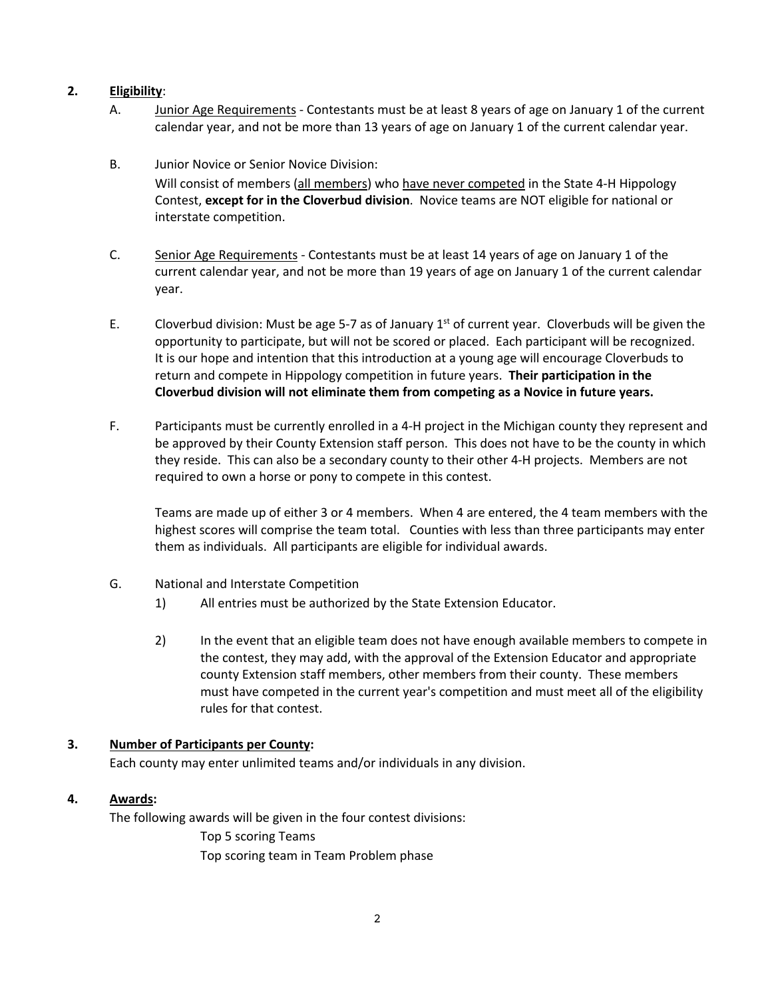## **2. Eligibility**:

- A. Junior Age Requirements Contestants must be at least 8 years of age on January 1 of the current calendar year, and not be more than 13 years of age on January 1 of the current calendar year.
- B. Junior Novice or Senior Novice Division: Will consist of members (all members) who have never competed in the State 4-H Hippology Contest, **except for in the Cloverbud division**. Novice teams are NOT eligible for national or interstate competition.
- C. Senior Age Requirements Contestants must be at least 14 years of age on January 1 of the current calendar year, and not be more than 19 years of age on January 1 of the current calendar year.
- E. Cloverbud division: Must be age 5-7 as of January  $1<sup>st</sup>$  of current year. Cloverbuds will be given the opportunity to participate, but will not be scored or placed. Each participant will be recognized. It is our hope and intention that this introduction at a young age will encourage Cloverbuds to return and compete in Hippology competition in future years. **Their participation in the Cloverbud division will not eliminate them from competing as a Novice in future years.**
- F. Participants must be currently enrolled in a 4-H project in the Michigan county they represent and be approved by their County Extension staff person. This does not have to be the county in which they reside. This can also be a secondary county to their other 4-H projects. Members are not required to own a horse or pony to compete in this contest.

Teams are made up of either 3 or 4 members. When 4 are entered, the 4 team members with the highest scores will comprise the team total. Counties with less than three participants may enter them as individuals. All participants are eligible for individual awards.

- G. National and Interstate Competition
	- 1) All entries must be authorized by the State Extension Educator.
	- 2) In the event that an eligible team does not have enough available members to compete in the contest, they may add, with the approval of the Extension Educator and appropriate county Extension staff members, other members from their county. These members must have competed in the current year's competition and must meet all of the eligibility rules for that contest.

# **3. Number of Participants per County:**

Each county may enter unlimited teams and/or individuals in any division.

### **4. Awards:**

The following awards will be given in the four contest divisions: Top 5 scoring Teams

Top scoring team in Team Problem phase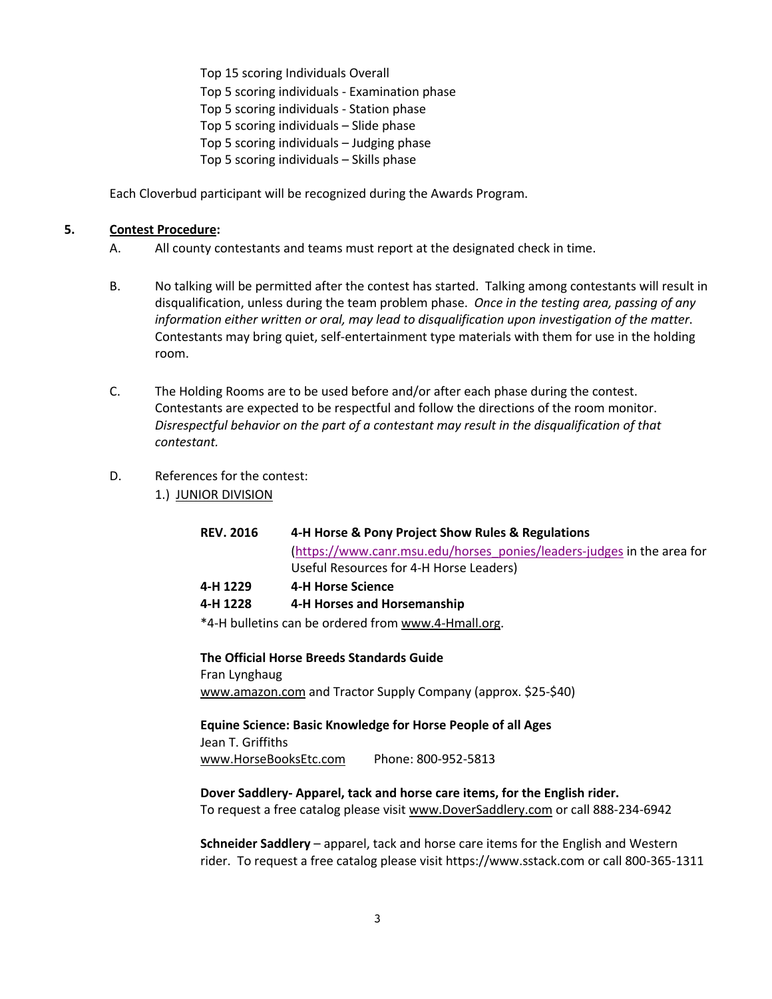Top 15 scoring Individuals Overall Top 5 scoring individuals - Examination phase Top 5 scoring individuals - Station phase Top 5 scoring individuals – Slide phase Top 5 scoring individuals – Judging phase Top 5 scoring individuals – Skills phase

Each Cloverbud participant will be recognized during the Awards Program.

### **5. Contest Procedure:**

- A. All county contestants and teams must report at the designated check in time.
- B. No talking will be permitted after the contest has started. Talking among contestants will result in disqualification, unless during the team problem phase. *Once in the testing area, passing of any information either written or oral, may lead to disqualification upon investigation of the matter*. Contestants may bring quiet, self-entertainment type materials with them for use in the holding room.
- C. The Holding Rooms are to be used before and/or after each phase during the contest. Contestants are expected to be respectful and follow the directions of the room monitor. *Disrespectful behavior on the part of a contestant may result in the disqualification of that contestant.*
- D. References for the contest:
	- 1.)JUNIOR DIVISION

| <b>REV. 2016</b> | 4-H Horse & Pony Project Show Rules & Regulations                      |
|------------------|------------------------------------------------------------------------|
|                  | (https://www.canr.msu.edu/horses ponies/leaders-judges in the area for |
|                  | Useful Resources for 4-H Horse Leaders)                                |
| 4-H 1229         | 4-H Horse Science                                                      |
| 4-H 1228         | 4-H Horses and Horsemanship                                            |
|                  | *4-H bulletins can be ordered from www.4-Hmall.org.                    |

**The Official Horse Breeds Standards Guide**  Fran Lynghaug www.amazon.com and Tractor Supply Company (approx. \$25-\$40)

**Equine Science: Basic Knowledge for Horse People of all Ages** Jean T. Griffiths www.HorseBooksEtc.com Phone: 800-952-5813

**Dover Saddlery- Apparel, tack and horse care items, for the English rider.** To request a free catalog please visit www.DoverSaddlery.com or call 888-234-6942

**Schneider Saddlery** – apparel, tack and horse care items for the English and Western rider. To request a free catalog please visit https://www.sstack.com or call 800-365-1311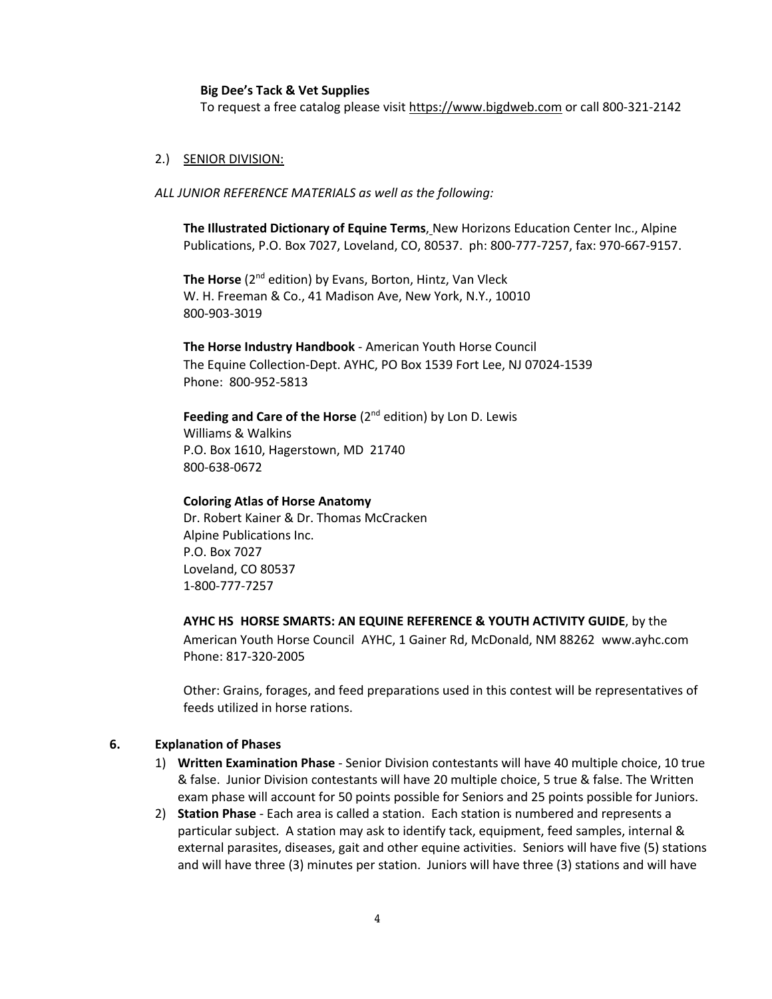### **Big Dee's Tack & Vet Supplies**

To request a free catalog please visit https://www.bigdweb.com or call 800-321-2142

### 2.) SENIOR DIVISION:

*ALL JUNIOR REFERENCE MATERIALS as well as the following:*

**The Illustrated Dictionary of Equine Terms**, New Horizons Education Center Inc., Alpine Publications, P.O. Box 7027, Loveland, CO, 80537. ph: 800-777-7257, fax: 970-667-9157.

The Horse (2<sup>nd</sup> edition) by Evans, Borton, Hintz, Van Vleck W. H. Freeman & Co., 41 Madison Ave, New York, N.Y., 10010 800-903-3019

**The Horse Industry Handbook** - American Youth Horse Council The Equine Collection-Dept. AYHC, PO Box 1539 Fort Lee, NJ 07024-1539 Phone: 800-952-5813

# Feeding and Care of the Horse (2<sup>nd</sup> edition) by Lon D. Lewis

Williams & Walkins P.O. Box 1610, Hagerstown, MD 21740 800-638-0672

#### **Coloring Atlas of Horse Anatomy**

Dr. Robert Kainer & Dr. Thomas McCracken Alpine Publications Inc. P.O. Box 7027 Loveland, CO 80537 1-800-777-7257

**AYHC HS HORSE SMARTS: AN EQUINE REFERENCE & YOUTH ACTIVITY GUIDE**, by the American Youth Horse Council AYHC, 1 Gainer Rd, McDonald, NM 88262 www.ayhc.com Phone: 817-320-2005

Other: Grains, forages, and feed preparations used in this contest will be representatives of feeds utilized in horse rations.

### **6. Explanation of Phases**

- 1) **Written Examination Phase** Senior Division contestants will have 40 multiple choice, 10 true & false. Junior Division contestants will have 20 multiple choice, 5 true & false. The Written exam phase will account for 50 points possible for Seniors and 25 points possible for Juniors.
- 2) **Station Phase** Each area is called a station. Each station is numbered and represents a particular subject. A station may ask to identify tack, equipment, feed samples, internal & external parasites, diseases, gait and other equine activities. Seniors will have five (5) stations and will have three (3) minutes per station. Juniors will have three (3) stations and will have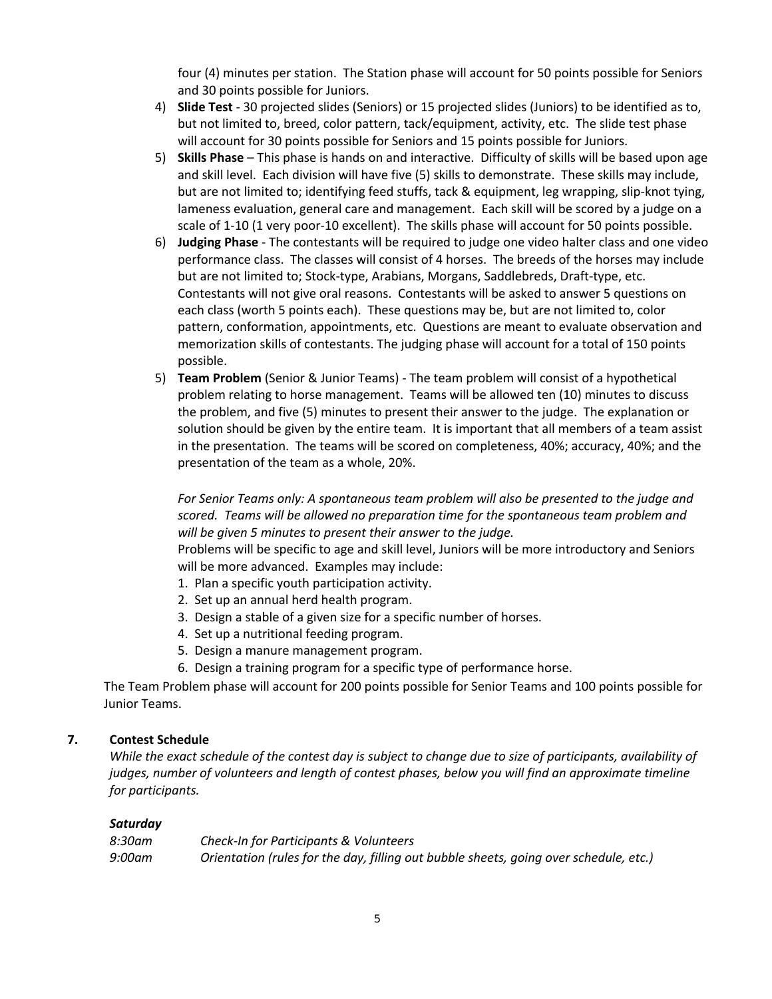four (4) minutes per station. The Station phase will account for 50 points possible for Seniors and 30 points possible for Juniors.

- 4) **Slide Test**  30 projected slides (Seniors) or 15 projected slides (Juniors) to be identified as to, but not limited to, breed, color pattern, tack/equipment, activity, etc. The slide test phase will account for 30 points possible for Seniors and 15 points possible for Juniors.
- 5) **Skills Phase** This phase is hands on and interactive. Difficulty of skills will be based upon age and skill level. Each division will have five (5) skills to demonstrate. These skills may include, but are not limited to; identifying feed stuffs, tack & equipment, leg wrapping, slip-knot tying, lameness evaluation, general care and management. Each skill will be scored by a judge on a scale of 1-10 (1 very poor-10 excellent). The skills phase will account for 50 points possible.
- 6) **Judging Phase** The contestants will be required to judge one video halter class and one video performance class. The classes will consist of 4 horses. The breeds of the horses may include but are not limited to; Stock-type, Arabians, Morgans, Saddlebreds, Draft-type, etc. Contestants will not give oral reasons. Contestants will be asked to answer 5 questions on each class (worth 5 points each). These questions may be, but are not limited to, color pattern, conformation, appointments, etc. Questions are meant to evaluate observation and memorization skills of contestants. The judging phase will account for a total of 150 points possible.
- 5) **Team Problem** (Senior & Junior Teams) The team problem will consist of a hypothetical problem relating to horse management. Teams will be allowed ten (10) minutes to discuss the problem, and five (5) minutes to present their answer to the judge. The explanation or solution should be given by the entire team. It is important that all members of a team assist in the presentation. The teams will be scored on completeness, 40%; accuracy, 40%; and the presentation of the team as a whole, 20%.

## For Senior Teams only: A spontaneous team problem will also be presented to the judge and *scored. Teams will be allowed no preparation time for the spontaneous team problem and will be given 5 minutes to present their answer to the judge.*

Problems will be specific to age and skill level, Juniors will be more introductory and Seniors will be more advanced. Examples may include:

- 1. Plan a specific youth participation activity.
- 2. Set up an annual herd health program.
- 3. Design a stable of a given size for a specific number of horses.
- 4. Set up a nutritional feeding program.
- 5. Design a manure management program.
- 6. Design a training program for a specific type of performance horse.

The Team Problem phase will account for 200 points possible for Senior Teams and 100 points possible for Junior Teams.

### **7. Contest Schedule**

*While the exact schedule of the contest day is subject to change due to size of participants, availability of judges, number of volunteers and length of contest phases, below you will find an approximate timeline for participants.*

### *Saturday*

| 8:30am | Check-In for Participants & Volunteers                                                |  |
|--------|---------------------------------------------------------------------------------------|--|
| 9:00am | Orientation (rules for the day, filling out bubble sheets, going over schedule, etc.) |  |